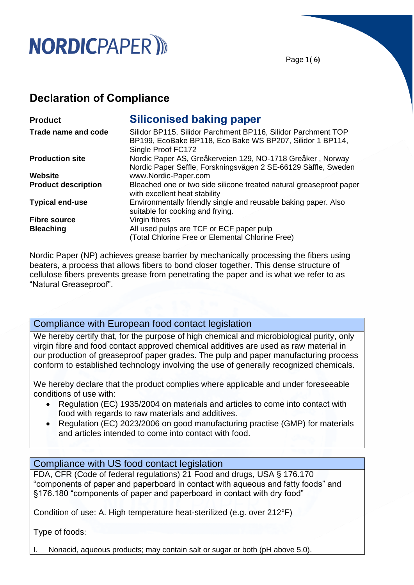## **NORDICPAPER** III

Page **1( 6)**

## **Declaration of Compliance**

| <b>Product</b>             | <b>Siliconised baking paper</b>                                                                                                                  |  |
|----------------------------|--------------------------------------------------------------------------------------------------------------------------------------------------|--|
| Trade name and code        | Silidor BP115, Silidor Parchment BP116, Silidor Parchment TOP<br>BP199, EcoBake BP118, Eco Bake WS BP207, Silidor 1 BP114,<br>Single Proof FC172 |  |
| <b>Production site</b>     | Nordic Paper AS, Greåkerveien 129, NO-1718 Greåker, Norway<br>Nordic Paper Seffle, Forskningsvägen 2 SE-66129 Säffle, Sweden                     |  |
| Website                    | www.Nordic-Paper.com                                                                                                                             |  |
| <b>Product description</b> | Bleached one or two side silicone treated natural greaseproof paper<br>with excellent heat stability                                             |  |
| <b>Typical end-use</b>     | Environmentally friendly single and reusable baking paper. Also<br>suitable for cooking and frying.                                              |  |
| <b>Fibre source</b>        | Virgin fibres                                                                                                                                    |  |
| <b>Bleaching</b>           | All used pulps are TCF or ECF paper pulp                                                                                                         |  |
|                            | (Total Chlorine Free or Elemental Chlorine Free)                                                                                                 |  |

Nordic Paper (NP) achieves grease barrier by mechanically processing the fibers using beaters, a process that allows fibers to bond closer together. This dense structure of cellulose fibers prevents grease from penetrating the paper and is what we refer to as "Natural Greaseproof".

## Compliance with European food contact legislation

We hereby certify that, for the purpose of high chemical and microbiological purity, only virgin fibre and food contact approved chemical additives are used as raw material in our production of greaseproof paper grades. The pulp and paper manufacturing process conform to established technology involving the use of generally recognized chemicals.

We hereby declare that the product complies where applicable and under foreseeable conditions of use with:

- Regulation (EC) 1935/2004 on materials and articles to come into contact with food with regards to raw materials and additives.
- Regulation (EC) 2023/2006 on good manufacturing practise (GMP) for materials and articles intended to come into contact with food.

### Compliance with US food contact legislation

FDA, CFR (Code of federal regulations) 21 Food and drugs, USA § 176.170 "components of paper and paperboard in contact with aqueous and fatty foods" and §176.180 "components of paper and paperboard in contact with dry food"

Condition of use: A. High temperature heat-sterilized (e.g. over 212°F)

Type of foods:

Nonacid, aqueous products; may contain salt or sugar or both (pH above 5.0).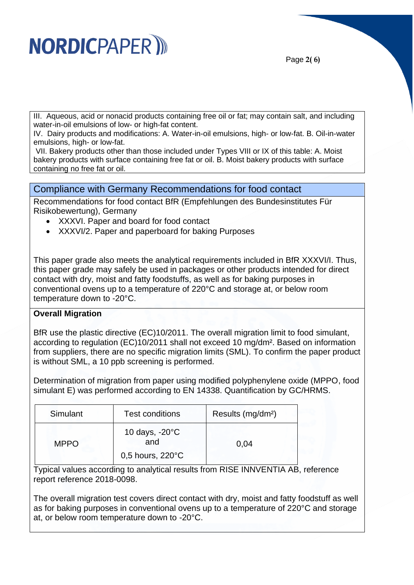# **NORDICPAPER** III

Page **2( 6)**

III. Aqueous, acid or nonacid products containing free oil or fat; may contain salt, and including water-in-oil emulsions of low- or high-fat content.

IV. Dairy products and modifications: A. Water-in-oil emulsions, high- or low-fat. B. Oil-in-water emulsions, high- or low-fat.

VII. Bakery products other than those included under Types VIII or IX of this table: A. Moist bakery products with surface containing free fat or oil. B. Moist bakery products with surface containing no free fat or oil.

Compliance with Germany Recommendations for food contact

Recommendations for food contact BfR (Empfehlungen des Bundesinstitutes Für Risikobewertung), Germany

- XXXVI. Paper and board for food contact
- XXXVI/2. Paper and paperboard for baking Purposes

This paper grade also meets the analytical requirements included in BfR XXXVI/I. Thus, this paper grade may safely be used in packages or other products intended for direct contact with dry, moist and fatty foodstuffs, as well as for baking purposes in conventional ovens up to a temperature of 220°C and storage at, or below room temperature down to -20°C.

#### **Overall Migration**

BfR use the plastic directive (EC)10/2011. The overall migration limit to food simulant, according to regulation (EC)10/2011 shall not exceed 10 mg/dm². Based on information from suppliers, there are no specific migration limits (SML). To confirm the paper product is without SML, a 10 ppb screening is performed.

Determination of migration from paper using modified polyphenylene oxide (MPPO, food simulant E) was performed according to EN 14338. Quantification by GC/HRMS.

| Simulant    | <b>Test conditions</b>          | Results (mg/dm <sup>2</sup> ) |
|-------------|---------------------------------|-------------------------------|
| <b>MPPO</b> | 10 days, $-20^{\circ}$ C<br>and | 0.04                          |
|             | $0,5$ hours, 220 $\degree$ C    |                               |

Typical values according to analytical results from RISE INNVENTIA AB, reference report reference 2018-0098.

The overall migration test covers direct contact with dry, moist and fatty foodstuff as well as for baking purposes in conventional ovens up to a temperature of 220°C and storage at, or below room temperature down to -20°C.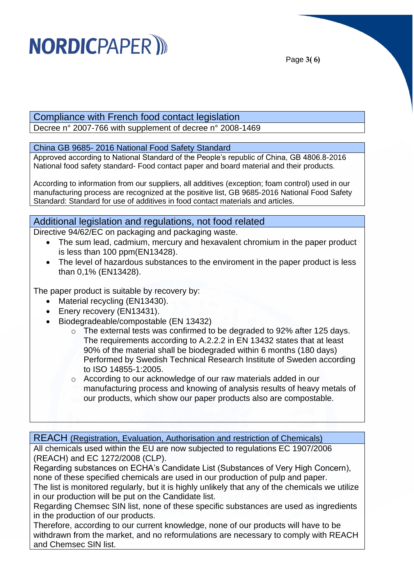# **NORDICPAPER**

Page **3( 6)**

## Compliance with French food contact legislation

Decree n° 2007-766 with supplement of decree n° 2008-1469

### China GB 9685- 2016 National Food Safety Standard

Approved according to National Standard of the People's republic of China, GB 4806.8-2016 National food safety standard- Food contact paper and board material and their products.

According to information from our suppliers, all additives (exception; foam control) used in our manufacturing process are recognized at the positive list, GB 9685-2016 National Food Safety Standard: Standard for use of additives in food contact materials and articles.

## Additional legislation and regulations, not food related

Directive 94/62/EC on packaging and packaging waste.

- The sum lead, cadmium, mercury and hexavalent chromium in the paper product is less than 100 ppm(EN13428).
- The level of hazardous substances to the enviroment in the paper product is less than 0,1% (EN13428).

The paper product is suitable by recovery by:

- Material recycling (EN13430).
- Enery recovery (EN13431).
- Biodegradeable/compostable (EN 13432)
	- o The external tests was confirmed to be degraded to 92% after 125 days. The requirements according to A.2.2.2 in EN 13432 states that at least 90% of the material shall be biodegraded within 6 months (180 days) Performed by Swedish Technical Research Institute of Sweden according to ISO 14855-1:2005.
	- o According to our acknowledge of our raw materials added in our manufacturing process and knowing of analysis results of heavy metals of our products, which show our paper products also are compostable.

REACH (Registration, Evaluation, Authorisation and restriction of Chemicals)

All chemicals used within the EU are now subjected to regulations EC 1907/2006 (REACH) and EC 1272/2008 (CLP).

Regarding substances on ECHA's Candidate List (Substances of Very High Concern), none of these specified chemicals are used in our production of pulp and paper.

The list is monitored regularly, but it is highly unlikely that any of the chemicals we utilize in our production will be put on the Candidate list.

Regarding Chemsec SIN list, none of these specific substances are used as ingredients in the production of our products.

Therefore, according to our current knowledge, none of our products will have to be withdrawn from the market, and no reformulations are necessary to comply with REACH and Chemsec SIN list.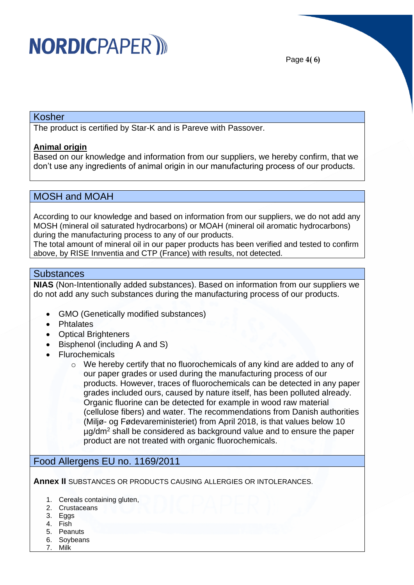

Page **4( 6)**

#### Kosher

The product is certified by Star-K and is Pareve with Passover.

#### **Animal origin**

Based on our knowledge and information from our suppliers, we hereby confirm, that we don't use any ingredients of animal origin in our manufacturing process of our products.

### MOSH and MOAH

According to our knowledge and based on information from our suppliers, we do not add any MOSH (mineral oil saturated hydrocarbons) or MOAH (mineral oil aromatic hydrocarbons) during the manufacturing process to any of our products.

The total amount of mineral oil in our paper products has been verified and tested to confirm above, by RISE Innventia and CTP (France) with results, not detected.

#### **Substances**

**NIAS** (Non-Intentionally added substances). Based on information from our suppliers we do not add any such substances during the manufacturing process of our products.

- GMO (Genetically modified substances)
- Phtalates
- Optical Brighteners
- Bisphenol (including A and S)
- Flurochemicals
	- $\circ$  We hereby certify that no fluorochemicals of any kind are added to any of our paper grades or used during the manufacturing process of our products. However, traces of fluorochemicals can be detected in any paper grades included ours, caused by nature itself, has been polluted already. Organic fluorine can be detected for example in wood raw material (cellulose fibers) and water. The recommendations from Danish authorities (Miljø- og Fødevareministeriet) from April 2018, is that values below 10 µg/dm<sup>2</sup> shall be considered as background value and to ensure the paper product are not treated with organic fluorochemicals.

## Food Allergens EU no. 1169/2011

**Annex II** SUBSTANCES OR PRODUCTS CAUSING ALLERGIES OR INTOLERANCES.

- 1. Cereals containing gluten,
- 2. Crustaceans
- 3. Eggs
- 4. Fish
- 5. Peanuts
- 6. Soybeans
- 7. Milk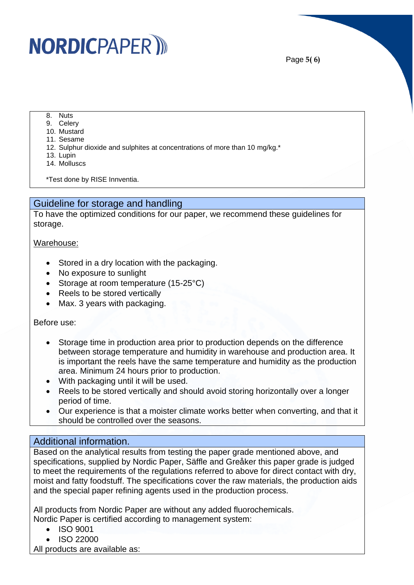## **NORDICPAPER** III

- 8. Nuts
- 9. Celery
- 10. Mustard
- 11. Sesame
- 12. Sulphur dioxide and sulphites at concentrations of more than 10 mg/kg.\*
- 13. Lupin
- 14. Molluscs

\*Test done by RISE Innventia.

## Guideline for storage and handling

To have the optimized conditions for our paper, we recommend these guidelines for storage.

#### Warehouse:

- Stored in a dry location with the packaging.
- No exposure to sunlight
- Storage at room temperature (15-25°C)
- Reels to be stored vertically
- Max. 3 years with packaging.

#### Before use:

- Storage time in production area prior to production depends on the difference between storage temperature and humidity in warehouse and production area. It is important the reels have the same temperature and humidity as the production area. Minimum 24 hours prior to production.
- With packaging until it will be used.
- Reels to be stored vertically and should avoid storing horizontally over a longer period of time.
- Our experience is that a moister climate works better when converting, and that it should be controlled over the seasons.

### Additional information.

Based on the analytical results from testing the paper grade mentioned above, and specifications, supplied by Nordic Paper, Säffle and Greåker this paper grade is judged to meet the requirements of the regulations referred to above for direct contact with dry, moist and fatty foodstuff. The specifications cover the raw materials, the production aids and the special paper refining agents used in the production process.

All products from Nordic Paper are without any added fluorochemicals. Nordic Paper is certified according to management system:

- ISO 9001
- ISO 22000

All products are available as: